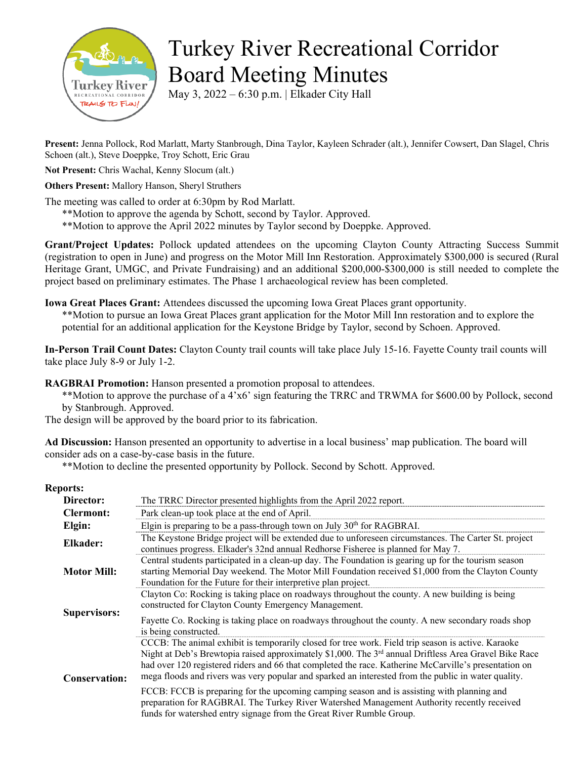

## Turkey River Recreational Corridor Board Meeting Minutes

May 3, 2022 – 6:30 p.m. | Elkader City Hall

**Present:** Jenna Pollock, Rod Marlatt, Marty Stanbrough, Dina Taylor, Kayleen Schrader (alt.), Jennifer Cowsert, Dan Slagel, Chris Schoen (alt.), Steve Doeppke, Troy Schott, Eric Grau

**Not Present:** Chris Wachal, Kenny Slocum (alt.)

## **Others Present:** Mallory Hanson, Sheryl Struthers

The meeting was called to order at 6:30pm by Rod Marlatt.

- \*\*Motion to approve the agenda by Schott, second by Taylor. Approved.
- \*\*Motion to approve the April 2022 minutes by Taylor second by Doeppke. Approved.

**Grant/Project Updates:** Pollock updated attendees on the upcoming Clayton County Attracting Success Summit (registration to open in June) and progress on the Motor Mill Inn Restoration. Approximately \$300,000 is secured (Rural Heritage Grant, UMGC, and Private Fundraising) and an additional \$200,000-\$300,000 is still needed to complete the project based on preliminary estimates. The Phase 1 archaeological review has been completed.

**Iowa Great Places Grant:** Attendees discussed the upcoming Iowa Great Places grant opportunity.

\*\*Motion to pursue an Iowa Great Places grant application for the Motor Mill Inn restoration and to explore the potential for an additional application for the Keystone Bridge by Taylor, second by Schoen. Approved.

**In-Person Trail Count Dates:** Clayton County trail counts will take place July 15-16. Fayette County trail counts will take place July 8-9 or July 1-2.

**RAGBRAI Promotion:** Hanson presented a promotion proposal to attendees.

\*\*Motion to approve the purchase of a 4'x6' sign featuring the TRRC and TRWMA for \$600.00 by Pollock, second by Stanbrough. Approved.

The design will be approved by the board prior to its fabrication.

**Ad Discussion:** Hanson presented an opportunity to advertise in a local business' map publication. The board will consider ads on a case-by-case basis in the future.

\*\*Motion to decline the presented opportunity by Pollock. Second by Schott. Approved.

## **Reports:**

| Director:            | The TRRC Director presented highlights from the April 2022 report.                                                                                                                                                                                                                                                                                                                                                                                                                                                                                                                                                                                                                                          |
|----------------------|-------------------------------------------------------------------------------------------------------------------------------------------------------------------------------------------------------------------------------------------------------------------------------------------------------------------------------------------------------------------------------------------------------------------------------------------------------------------------------------------------------------------------------------------------------------------------------------------------------------------------------------------------------------------------------------------------------------|
| <b>Clermont:</b>     | Park clean-up took place at the end of April.                                                                                                                                                                                                                                                                                                                                                                                                                                                                                                                                                                                                                                                               |
| Elgin:               | Elgin is preparing to be a pass-through town on July 30 <sup>th</sup> for RAGBRAI.                                                                                                                                                                                                                                                                                                                                                                                                                                                                                                                                                                                                                          |
| Elkader:             | The Keystone Bridge project will be extended due to unforeseen circumstances. The Carter St. project<br>continues progress. Elkader's 32nd annual Redhorse Fisheree is planned for May 7.                                                                                                                                                                                                                                                                                                                                                                                                                                                                                                                   |
| <b>Motor Mill:</b>   | Central students participated in a clean-up day. The Foundation is gearing up for the tourism season<br>starting Memorial Day weekend. The Motor Mill Foundation received \$1,000 from the Clayton County<br>Foundation for the Future for their interpretive plan project.                                                                                                                                                                                                                                                                                                                                                                                                                                 |
| <b>Supervisors:</b>  | Clayton Co: Rocking is taking place on roadways throughout the county. A new building is being<br>constructed for Clayton County Emergency Management.<br>Fayette Co. Rocking is taking place on roadways throughout the county. A new secondary roads shop<br>is being constructed.                                                                                                                                                                                                                                                                                                                                                                                                                        |
| <b>Conservation:</b> | CCCB: The animal exhibit is temporarily closed for tree work. Field trip season is active. Karaoke<br>Night at Deb's Brewtopia raised approximately \$1,000. The 3 <sup>rd</sup> annual Driftless Area Gravel Bike Race<br>had over 120 registered riders and 66 that completed the race. Katherine McCarville's presentation on<br>mega floods and rivers was very popular and sparked an interested from the public in water quality.<br>FCCB: FCCB is preparing for the upcoming camping season and is assisting with planning and<br>preparation for RAGBRAI. The Turkey River Watershed Management Authority recently received<br>funds for watershed entry signage from the Great River Rumble Group. |